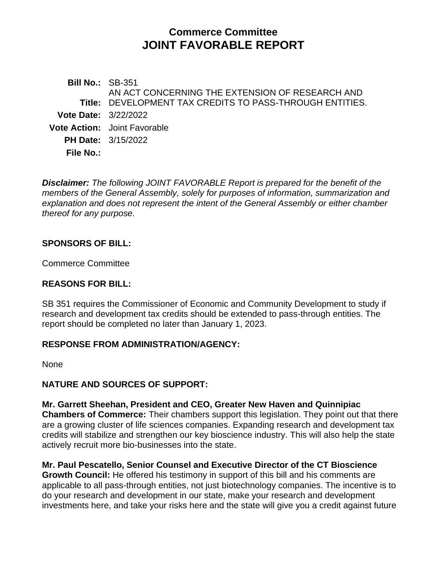# **Commerce Committee JOINT FAVORABLE REPORT**

**Bill No.:** SB-351 **Title:** DEVELOPMENT TAX CREDITS TO PASS-THROUGH ENTITIES. AN ACT CONCERNING THE EXTENSION OF RESEARCH AND **Vote Date:** 3/22/2022 **Vote Action:** Joint Favorable **PH Date:** 3/15/2022 **File No.:**

*Disclaimer: The following JOINT FAVORABLE Report is prepared for the benefit of the members of the General Assembly, solely for purposes of information, summarization and explanation and does not represent the intent of the General Assembly or either chamber thereof for any purpose.*

### **SPONSORS OF BILL:**

Commerce Committee

#### **REASONS FOR BILL:**

SB 351 requires the Commissioner of Economic and Community Development to study if research and development tax credits should be extended to pass-through entities. The report should be completed no later than January 1, 2023.

#### **RESPONSE FROM ADMINISTRATION/AGENCY:**

None

# **NATURE AND SOURCES OF SUPPORT:**

**Mr. Garrett Sheehan, President and CEO, Greater New Haven and Quinnipiac Chambers of Commerce:** Their chambers support this legislation. They point out that there are a growing cluster of life sciences companies. Expanding research and development tax credits will stabilize and strengthen our key bioscience industry. This will also help the state actively recruit more bio-businesses into the state.

**Mr. Paul Pescatello, Senior Counsel and Executive Director of the CT Bioscience Growth Council:** He offered his testimony in support of this bill and his comments are applicable to all pass-through entities, not just biotechnology companies. The incentive is to do your research and development in our state, make your research and development investments here, and take your risks here and the state will give you a credit against future